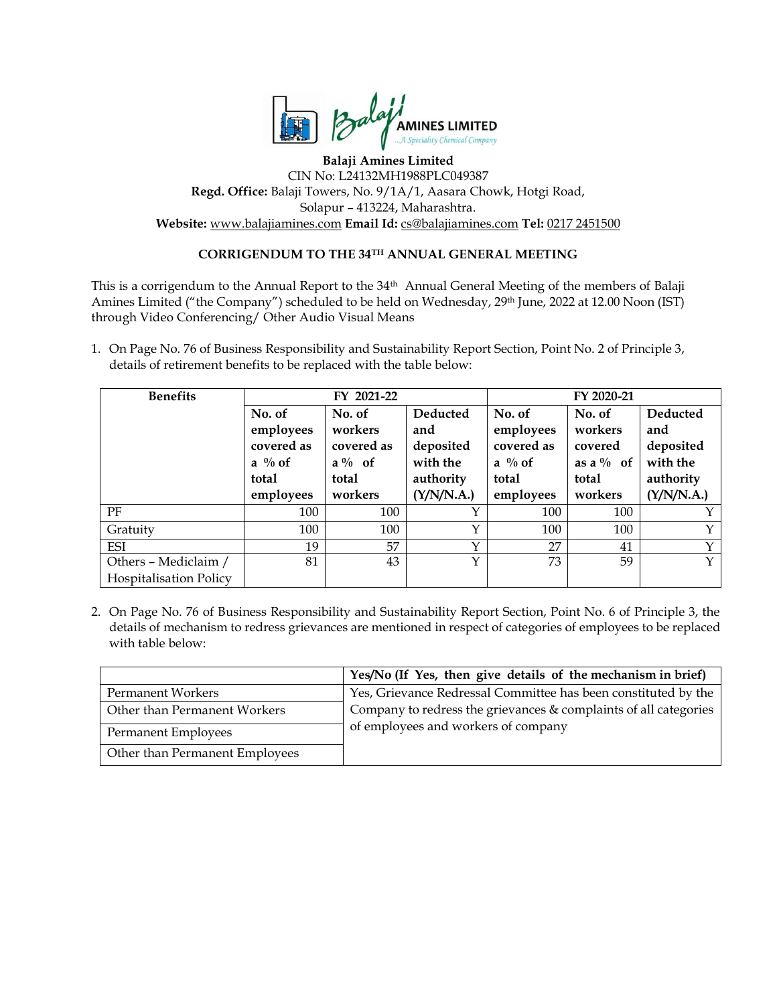

## **Balaji Amines Limited** CIN No: L24132MH1988PLC049387 **Regd. Office:** Balaji Towers, No. 9/1A/1, Aasara Chowk, Hotgi Road, Solapur – 413224, Maharashtra. **Website:** [www.balajiamines.com](http://www.balajiamines.com-/) **Email Id:** [cs@balajiamines.com](mailto:cs@balajiamines.com) **Tel:** 0217 2451500

## **CORRIGENDUM TO THE 34TH ANNUAL GENERAL MEETING**

This is a corrigendum to the Annual Report to the 34th Annual General Meeting of the members of Balaji Amines Limited ("the Company") scheduled to be held on Wednesday, 29<sup>th</sup> June, 2022 at 12.00 Noon (IST) through Video Conferencing/ Other Audio Visual Means

1. On Page No. 76 of Business Responsibility and Sustainability Report Section, Point No. 2 of Principle 3, details of retirement benefits to be replaced with the table below:

| <b>Benefits</b>               |                    | FY 2021-22 |              | FY 2020-21 |              |            |  |
|-------------------------------|--------------------|------------|--------------|------------|--------------|------------|--|
|                               | No. of             | No. of     | Deducted     | No. of     | No. of       | Deducted   |  |
|                               | employees          | workers    | and          | employees  | workers      | and        |  |
|                               | covered as         | covered as | deposited    | covered as | covered      | deposited  |  |
|                               | $a \frac{0}{0}$ of | $a\%$ of   | with the     | a % of     | as a $\%$ of | with the   |  |
|                               | total              | total      | authority    | total      | total        | authority  |  |
|                               | employees          | workers    | (Y/N/N.A.)   | employees  | workers      | (Y/N/N.A.) |  |
| PF                            | 100                | 100        | $\checkmark$ | 100        | 100          | Y          |  |
| Gratuity                      | 100                | 100        | Y            | 100        | 100          | Y          |  |
| <b>ESI</b>                    | 19                 | 57         | $\check{~}$  | 27         | 41           | Y          |  |
| Others - Mediclaim /          | 81                 | 43         | Υ            | 73         | 59           | Y          |  |
| <b>Hospitalisation Policy</b> |                    |            |              |            |              |            |  |

2. On Page No. 76 of Business Responsibility and Sustainability Report Section, Point No. 6 of Principle 3, the details of mechanism to redress grievances are mentioned in respect of categories of employees to be replaced with table below:

|                                | Yes/No (If Yes, then give details of the mechanism in brief)       |  |  |
|--------------------------------|--------------------------------------------------------------------|--|--|
| <b>Permanent Workers</b>       | Yes, Grievance Redressal Committee has been constituted by the     |  |  |
| Other than Permanent Workers   | Company to redress the grievances $&$ complaints of all categories |  |  |
| Permanent Employees            | of employees and workers of company                                |  |  |
| Other than Permanent Employees |                                                                    |  |  |